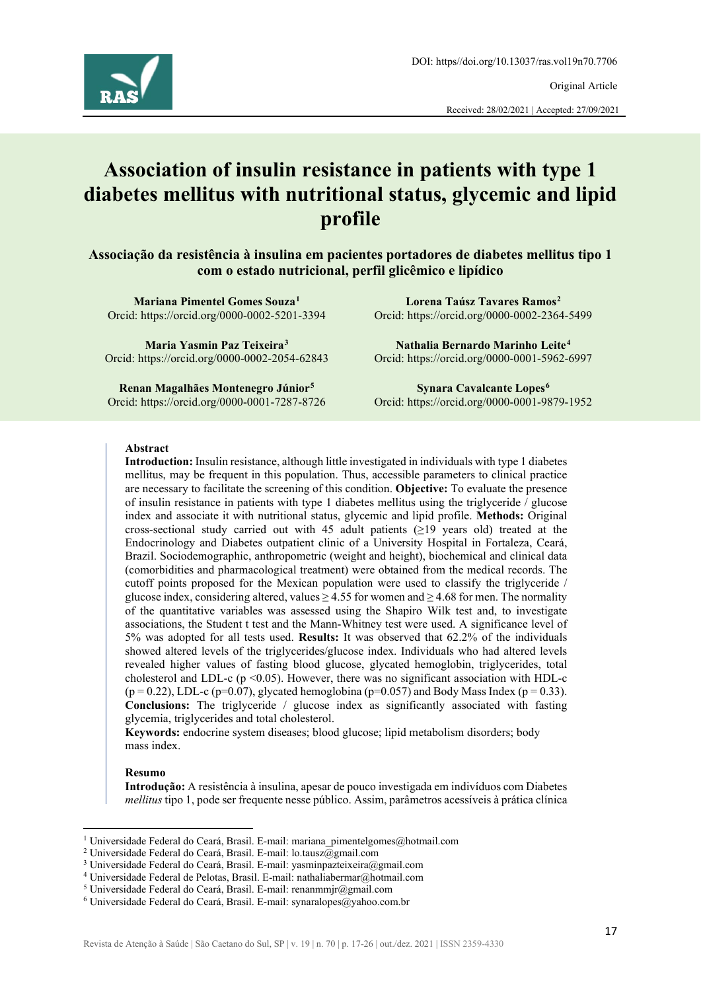

Original Article

Received: 28/02/2021 | Accepted: 27/09/2021

# **Association of insulin resistance in patients with type 1 diabetes mellitus with nutritional status, glycemic and lipid profile**

**Associação da resistência à insulina em pacientes portadores de diabetes mellitus tipo 1 com o estado nutricional, perfil glicêmico e lipídico** 

**Mariana Pimentel Gomes Souza[1](#page-0-0)** Orcid: https://orcid.org/0000-0002-5201-3394

**Maria Yasmin Paz Teixeira[3](#page-0-2)** Orcid: https://orcid.org/0000-0002-2054-62843

**Nathalia Bernardo Marinho Leite[4](#page-0-3)** Orcid: https://orcid.org/0000-0001-5962-6997

**Lorena Taúsz Tavares Ramos[2](#page-0-1)** Orcid: https://orcid.org/0000-0002-2364-5499

**Renan Magalhães Montenegro Júnior[5](#page-0-4)** Orcid: https://orcid.org/0000-0001-7287-8726

**Synara Cavalcante Lopes[6](#page-0-5)** Orcid: https://orcid.org/0000-0001-9879-1952

#### **Abstract**

**Introduction:** Insulin resistance, although little investigated in individuals with type 1 diabetes mellitus, may be frequent in this population. Thus, accessible parameters to clinical practice are necessary to facilitate the screening of this condition. **Objective:** To evaluate the presence of insulin resistance in patients with type 1 diabetes mellitus using the triglyceride / glucose index and associate it with nutritional status, glycemic and lipid profile. **Methods:** Original cross-sectional study carried out with 45 adult patients ( $\geq$ 19 years old) treated at the Endocrinology and Diabetes outpatient clinic of a University Hospital in Fortaleza, Ceará, Brazil. Sociodemographic, anthropometric (weight and height), biochemical and clinical data (comorbidities and pharmacological treatment) were obtained from the medical records. The cutoff points proposed for the Mexican population were used to classify the triglyceride / glucose index, considering altered, values  $\geq$  4.55 for women and  $\geq$  4.68 for men. The normality of the quantitative variables was assessed using the Shapiro Wilk test and, to investigate associations, the Student t test and the Mann-Whitney test were used. A significance level of 5% was adopted for all tests used. **Results:** It was observed that 62.2% of the individuals showed altered levels of the triglycerides/glucose index. Individuals who had altered levels revealed higher values of fasting blood glucose, glycated hemoglobin, triglycerides, total cholesterol and LDL-c ( $p \le 0.05$ ). However, there was no significant association with HDL-c  $(p = 0.22)$ , LDL-c (p=0.07), glycated hemoglobina (p=0.057) and Body Mass Index (p = 0.33). **Conclusions:** The triglyceride / glucose index as significantly associated with fasting glycemia, triglycerides and total cholesterol.

**Keywords:** endocrine system diseases; blood glucose; lipid metabolism disorders; body mass index.

#### **Resumo**

**Introdução:** A resistência à insulina, apesar de pouco investigada em indivíduos com Diabetes *mellitus* tipo 1, pode ser frequente nesse público. Assim, parâmetros acessíveis à prática clínica

<sup>&</sup>lt;sup>1</sup> Universidade Federal do Ceará, Brasil. E-mail: mariana pimentelgomes@hotmail.com

<span id="page-0-1"></span><span id="page-0-0"></span><sup>&</sup>lt;sup>2</sup> Universidade Federal do Ceará, Brasil. E-mail: lo.tausz@gmail.com

<span id="page-0-2"></span><sup>3</sup> Universidade Federal do Ceará, Brasil. E-mail: yasminpazteixeira@gmail.com

<span id="page-0-3"></span> $^4$ Universidade Federal de Pelotas, Brasil. E-mail: nathaliabermar@hotmail.com

<span id="page-0-4"></span><sup>5</sup> Universidade Federal do Ceará, Brasil. E-mail: renanmmjr@gmail.com

<span id="page-0-5"></span> $6$  Universidade Federal do Ceará, Brasil. E-mail: synaralopes@yahoo.com.br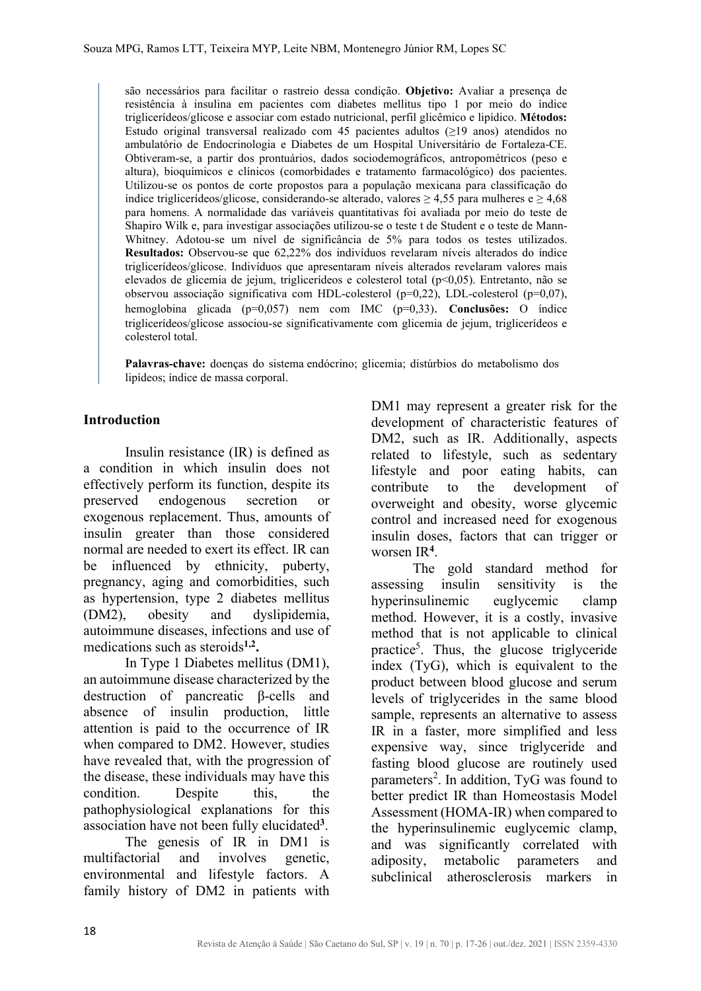são necessários para facilitar o rastreio dessa condição. **Objetivo:** Avaliar a presença de resistência à insulina em pacientes com diabetes mellitus tipo 1 por meio do índice triglicerídeos/glicose e associar com estado nutricional, perfil glicêmico e lipídico. **Métodos:** Estudo original transversal realizado com 45 pacientes adultos (≥19 anos) atendidos no ambulatório de Endocrinologia e Diabetes de um Hospital Universitário de Fortaleza-CE. Obtiveram-se, a partir dos prontuários, dados sociodemográficos, antropométricos (peso e altura), bioquímicos e clínicos (comorbidades e tratamento farmacológico) dos pacientes. Utilizou-se os pontos de corte propostos para a população mexicana para classificação do índice triglicerídeos/glicose, considerando-se alterado, valores ≥ 4,55 para mulheres e ≥ 4,68 para homens. A normalidade das variáveis quantitativas foi avaliada por meio do teste de Shapiro Wilk e, para investigar associações utilizou-se o teste t de Student e o teste de Mann-Whitney. Adotou-se um nível de significância de 5% para todos os testes utilizados. **Resultados:** Observou-se que 62,22% dos indivíduos revelaram níveis alterados do índice triglicerídeos/glicose. Indivíduos que apresentaram níveis alterados revelaram valores mais elevados de glicemia de jejum, triglicerídeos e colesterol total (p<0,05). Entretanto, não se observou associação significativa com HDL-colesterol (p=0,22), LDL-colesterol (p=0,07), hemoglobina glicada (p=0,057) nem com IMC (p=0,33). **Conclusões:** O índice triglicerídeos/glicose associou-se significativamente com glicemia de jejum, triglicerídeos e colesterol total.

**Palavras-chave:** doenças do sistema endócrino; glicemia; distúrbios do metabolismo dos lipídeos; índice de massa corporal.

# **Introduction**

Insulin resistance (IR) is defined as a condition in which insulin does not effectively perform its function, despite its preserved endogenous secretion or exogenous replacement. Thus, amounts of insulin greater than those considered normal are needed to exert its effect. IR can be influenced by ethnicity, puberty, pregnancy, aging and comorbidities, such as hypertension, type 2 diabetes mellitus (DM2), obesity and dyslipidemia, autoimmune diseases, infections and use of medications such as steroids**1,2.**

In Type 1 Diabetes mellitus (DM1), an autoimmune disease characterized by the destruction of pancreatic β-cells and absence of insulin production, little attention is paid to the occurrence of IR when compared to DM2. However, studies have revealed that, with the progression of the disease, these individuals may have this condition. Despite this, the pathophysiological explanations for this association have not been fully elucidated**<sup>3</sup>**.

The genesis of IR in DM1 is multifactorial and involves genetic, environmental and lifestyle factors. A family history of DM2 in patients with

DM1 may represent a greater risk for the development of characteristic features of DM2, such as IR. Additionally, aspects related to lifestyle, such as sedentary lifestyle and poor eating habits, can contribute to the development of overweight and obesity, worse glycemic control and increased need for exogenous insulin doses, factors that can trigger or worsen IR**<sup>4</sup>**.

The gold standard method for assessing insulin sensitivity is the hyperinsulinemic euglycemic clamp method. However, it is a costly, invasive method that is not applicable to clinical practice<sup>5</sup>. Thus, the glucose triglyceride index (TyG), which is equivalent to the product between blood glucose and serum levels of triglycerides in the same blood sample, represents an alternative to assess IR in a faster, more simplified and less expensive way, since triglyceride and fasting blood glucose are routinely used parameters<sup>2</sup>. In addition, TyG was found to better predict IR than Homeostasis Model Assessment (HOMA-IR) when compared to the hyperinsulinemic euglycemic clamp, and was significantly correlated with adiposity, metabolic parameters and subclinical atherosclerosis markers in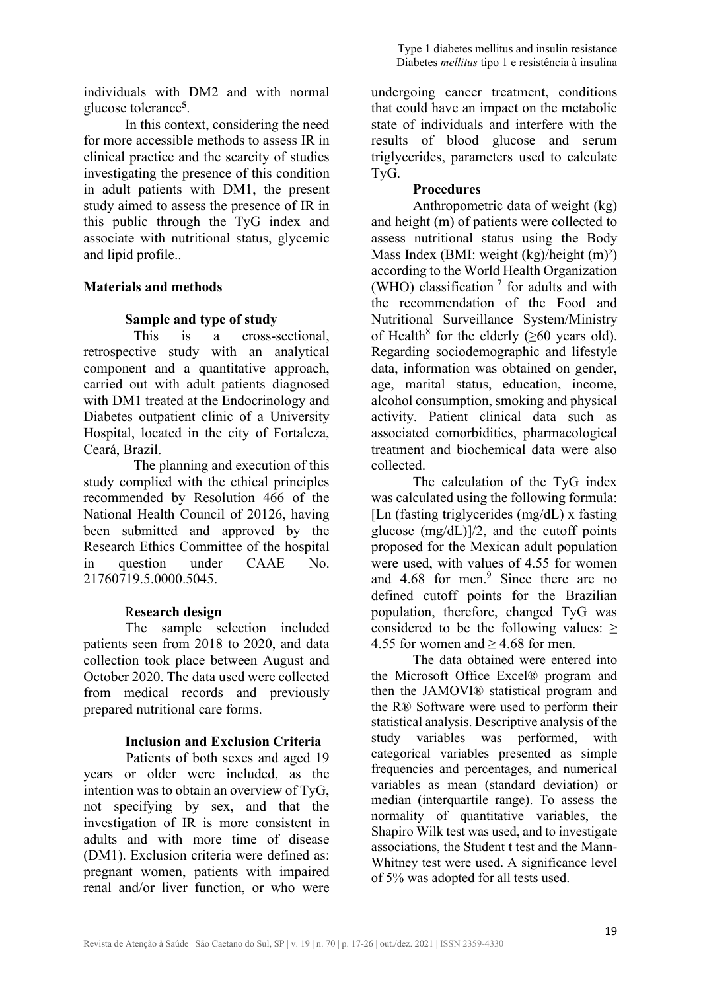individuals with DM2 and with normal glucose tolerance**<sup>5</sup>**.

In this context, considering the need for more accessible methods to assess IR in clinical practice and the scarcity of studies investigating the presence of this condition in adult patients with DM1, the present study aimed to assess the presence of IR in this public through the TyG index and associate with nutritional status, glycemic and lipid profile..

# **Materials and methods**

# **Sample and type of study**

This is a cross-sectional, retrospective study with an analytical component and a quantitative approach, carried out with adult patients diagnosed with DM1 treated at the Endocrinology and Diabetes outpatient clinic of a University Hospital, located in the city of Fortaleza, Ceará, Brazil.

The planning and execution of this study complied with the ethical principles recommended by Resolution 466 of the National Health Council of 20126, having been submitted and approved by the Research Ethics Committee of the hospital in question under CAAE No. 21760719.5.0000.5045.

# R**esearch design**

The sample selection included patients seen from 2018 to 2020, and data collection took place between August and October 2020. The data used were collected from medical records and previously prepared nutritional care forms.

# **Inclusion and Exclusion Criteria**

Patients of both sexes and aged 19 years or older were included, as the intention was to obtain an overview of TyG, not specifying by sex, and that the investigation of IR is more consistent in adults and with more time of disease (DM1). Exclusion criteria were defined as: pregnant women, patients with impaired renal and/or liver function, or who were

undergoing cancer treatment, conditions that could have an impact on the metabolic state of individuals and interfere with the results of blood glucose and serum triglycerides, parameters used to calculate TyG.

# **Procedures**

Anthropometric data of weight (kg) and height (m) of patients were collected to assess nutritional status using the Body Mass Index (BMI: weight (kg)/height (m)²) according to the World Health Organization (WHO) classification  $<sup>7</sup>$  for adults and with</sup> the recommendation of the Food and Nutritional Surveillance System/Ministry of Health<sup>8</sup> for the elderly ( $\geq 60$  years old). Regarding sociodemographic and lifestyle data, information was obtained on gender, age, marital status, education, income, alcohol consumption, smoking and physical activity. Patient clinical data such as associated comorbidities, pharmacological treatment and biochemical data were also collected.

The calculation of the TyG index was calculated using the following formula: [Ln (fasting triglycerides (mg/dL) x fasting glucose (mg/dL)]/2, and the cutoff points proposed for the Mexican adult population were used, with values of 4.55 for women and  $4.68$  for men.<sup>9</sup> Since there are no defined cutoff points for the Brazilian population, therefore, changed TyG was considered to be the following values: ≥ 4.55 for women and  $> 4.68$  for men.

The data obtained were entered into the Microsoft Office Excel® program and then the JAMOVI® statistical program and the R® Software were used to perform their statistical analysis. Descriptive analysis of the study variables was performed, with categorical variables presented as simple frequencies and percentages, and numerical variables as mean (standard deviation) or median (interquartile range). To assess the normality of quantitative variables, the Shapiro Wilk test was used, and to investigate associations, the Student t test and the Mann-Whitney test were used. A significance level of 5% was adopted for all tests used.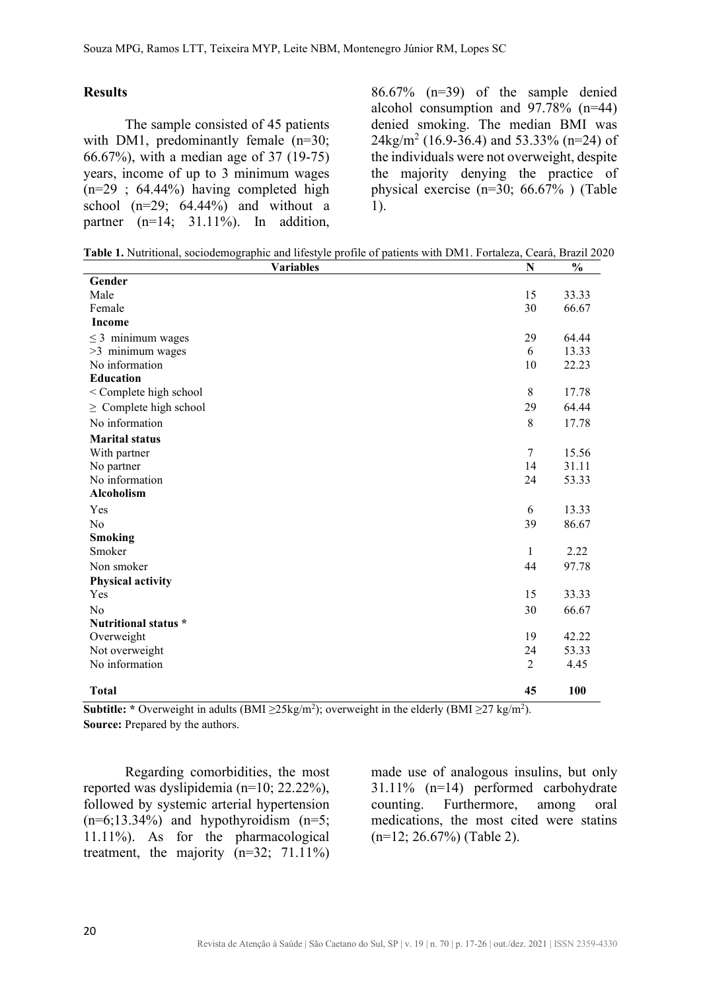#### **Results**

The sample consisted of 45 patients with DM1, predominantly female (n=30; 66.67%), with a median age of 37 (19-75) years, income of up to 3 minimum wages  $(n=29 \; ; \; 64.44\%)$  having completed high school  $(n=29; 64.44%)$  and without a partner (n=14; 31.11%). In addition,

86.67% (n=39) of the sample denied alcohol consumption and 97.78% (n=44) denied smoking. The median BMI was  $24\text{kg/m}^2$  (16.9-36.4) and 53.33% (n=24) of the individuals were not overweight, despite the majority denying the practice of physical exercise (n=30; 66.67% ) (Table 1).

| <b>Variables</b>            | N              | $\%$  |
|-----------------------------|----------------|-------|
| Gender                      |                |       |
| Male                        | 15             | 33.33 |
| Female                      | 30             | 66.67 |
| Income                      |                |       |
| $\leq$ 3 minimum wages      | 29             | 64.44 |
| >3 minimum wages            | 6              | 13.33 |
| No information              | 10             | 22.23 |
| <b>Education</b>            |                |       |
| < Complete high school      | $\,$ 8 $\,$    | 17.78 |
| $\geq$ Complete high school | 29             | 64.44 |
| No information              | $\,$ 8 $\,$    | 17.78 |
| <b>Marital status</b>       |                |       |
| With partner                | $\overline{7}$ | 15.56 |
| No partner                  | 14             | 31.11 |
| No information              | 24             | 53.33 |
| Alcoholism                  |                |       |
| Yes                         | 6              | 13.33 |
| No                          | 39             | 86.67 |
| <b>Smoking</b>              |                |       |
| Smoker                      | $\mathbf{1}$   | 2.22  |
| Non smoker                  | 44             | 97.78 |
| <b>Physical activity</b>    |                |       |
| Yes                         | 15             | 33.33 |
| No                          | 30             | 66.67 |
| Nutritional status *        |                |       |
| Overweight                  | 19             | 42.22 |
| Not overweight              | 24             | 53.33 |
| No information              | $\overline{2}$ | 4.45  |
| <b>Total</b>                | 45             | 100   |

**Subtitle:** \* Overweight in adults (BMI  $\geq$ 25kg/m<sup>2</sup>); overweight in the elderly (BMI  $\geq$ 27 kg/m<sup>2</sup>). **Source:** Prepared by the authors.

Regarding comorbidities, the most reported was dyslipidemia (n=10; 22.22%), followed by systemic arterial hypertension  $(n=6;13.34%)$  and hypothyroidism  $(n=5;$ 11.11%). As for the pharmacological treatment, the majority  $(n=32; 71.11\%)$ 

made use of analogous insulins, but only 31.11% (n=14) performed carbohydrate counting. Furthermore, among oral medications, the most cited were statins (n=12; 26.67%) (Table 2).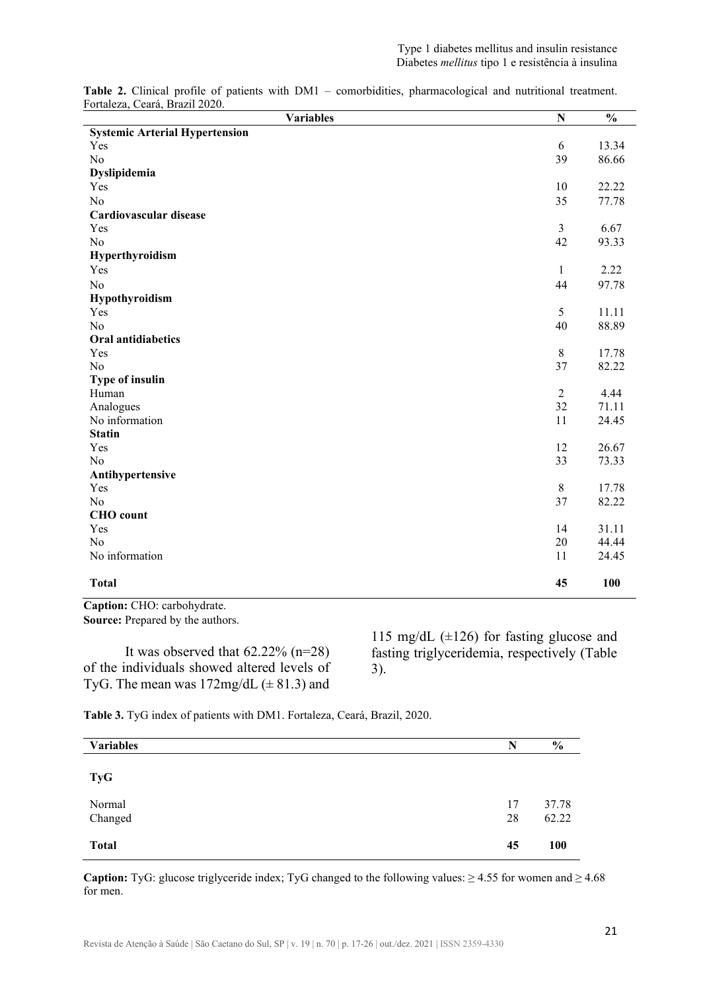| <b>Variables</b>                      | $\mathbf N$  | $\frac{0}{0}$ |
|---------------------------------------|--------------|---------------|
| <b>Systemic Arterial Hypertension</b> |              |               |
| Yes                                   | 6            | 13.34         |
| No                                    | 39           | 86.66         |
| Dyslipidemia                          |              |               |
| Yes                                   | 10           | 22.22         |
| N <sub>o</sub>                        | 35           | 77.78         |
| Cardiovascular disease                |              |               |
| Yes                                   | 3            | 6.67          |
| N <sub>o</sub>                        | 42           | 93.33         |
| Hyperthyroidism                       |              |               |
| Yes                                   | $\mathbf{1}$ | 2.22          |
| N <sub>o</sub>                        | 44           | 97.78         |
| Hypothyroidism                        |              |               |
| Yes                                   | 5            | 11.11         |
| N <sub>o</sub>                        | 40           | 88.89         |
| <b>Oral antidiabetics</b>             |              |               |
| Yes                                   | $\,8\,$      | 17.78         |
| N <sub>o</sub>                        | 37           | 82.22         |
| <b>Type of insulin</b>                |              |               |
| Human                                 | $\mathbf{2}$ | 4.44          |
| Analogues                             | 32           | 71.11         |
| No information                        | 11           | 24.45         |
| <b>Statin</b>                         |              |               |
| Yes                                   | 12           | 26.67         |
| N <sub>o</sub>                        | 33           | 73.33         |
| Antihypertensive                      |              |               |
| Yes                                   | $\,8\,$      | 17.78         |
| N <sub>o</sub>                        | 37           | 82.22         |
| <b>CHO</b> count                      |              |               |
| Yes                                   | 14           | 31.11         |
| N <sub>o</sub>                        | 20           | 44.44         |
| No information                        | 11           | 24.45         |
| <b>Total</b>                          | 45           | 100           |

**Table 2.** Clinical profile of patients with DM1 – comorbidities, pharmacological and nutritional treatment. Fortaleza, Ceará, Brazil 2020.

**Caption:** CHO: carbohydrate. **Source:** Prepared by the authors.

It was observed that  $62.22\%$  (n=28) of the individuals showed altered levels of TyG. The mean was  $172mg/dL$  ( $\pm 81.3$ ) and

115 mg/dL  $(\pm 126)$  for fasting glucose and fasting triglyceridemia, respectively (Table 3).

**Table 3.** TyG index of patients with DM1. Fortaleza, Ceará, Brazil, 2020.

| <b>Variables</b>  | N        | $\frac{6}{9}$  |
|-------------------|----------|----------------|
| <b>TyG</b>        |          |                |
| Normal<br>Changed | 17<br>28 | 37.78<br>62.22 |
| <b>Total</b>      | 45       | <b>100</b>     |

**Caption:** TyG: glucose triglyceride index; TyG changed to the following values: ≥ 4.55 for women and ≥ 4.68 for men.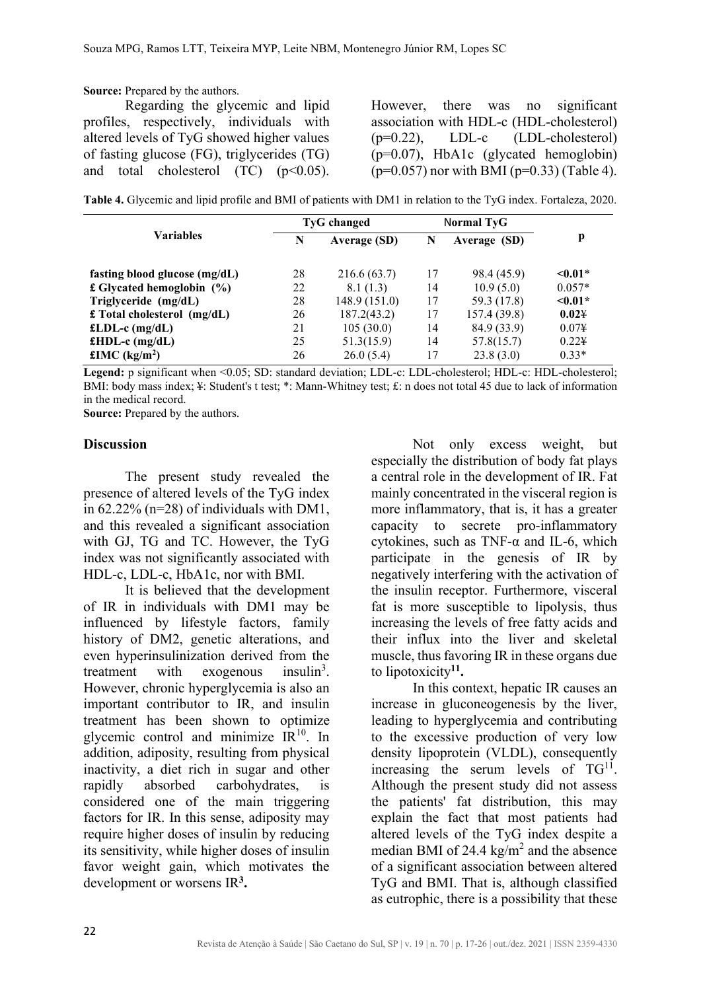**Source:** Prepared by the authors.

Regarding the glycemic and lipid profiles, respectively, individuals with altered levels of TyG showed higher values of fasting glucose (FG), triglycerides (TG) and total cholesterol  $(TC)$   $(p<0.05)$ .

However, there was no significant association with HDL-c (HDL-cholesterol) (p=0.22), LDL-c (LDL-cholesterol) (p=0.07), HbA1c (glycated hemoglobin)  $(p=0.057)$  nor with BMI ( $p=0.33$ ) (Table 4).

**Table 4.** Glycemic and lipid profile and BMI of patients with DM1 in relation to the TyG index. Fortaleza, 2020.

| <b>Variables</b>                    | <b>TyG</b> changed |                     | Normal TyG |              |                |  |
|-------------------------------------|--------------------|---------------------|------------|--------------|----------------|--|
|                                     | N                  | <b>Average (SD)</b> | N          | Average (SD) | p              |  |
| fasting blood glucose $(mg/dL)$     | 28                 | 216.6(63.7)         | 17         | 98.4 (45.9)  | $\leq 0.01*$   |  |
| £ Glycated hemoglobin $(\% )$       | 22                 | 8.1(1.3)            | 14         | 10.9(5.0)    | $0.057*$       |  |
| Triglyceride (mg/dL)                | 28                 | 148.9 (151.0)       | 17         | 59.3 (17.8)  | $\leq 0.01*$   |  |
| $\pounds$ Total cholesterol (mg/dL) | 26                 | 187.2(43.2)         | 17         | 157.4(39.8)  | 0.024          |  |
| £LDL-c $(mg/dL)$                    | 21                 | 105(30.0)           | 14         | 84.9 (33.9)  | $0.07\text{H}$ |  |
| £HDL-c $(mg/dL)$                    | 25                 | 51.3(15.9)          | 14         | 57.8(15.7)   | $0.22\text{H}$ |  |
| £IMC $(kg/m2)$                      | 26                 | 26.0(5.4)           | 17         | 23.8(3.0)    | $0.33*$        |  |

Legend: p significant when <0.05; SD: standard deviation; LDL-c: LDL-cholesterol; HDL-c: HDL-cholesterol; BMI: body mass index; ¥: Student's t test; \*: Mann-Whitney test; £: n does not total 45 due to lack of information in the medical record.

**Source:** Prepared by the authors.

### **Discussion**

The present study revealed the presence of altered levels of the TyG index in 62.22% (n=28) of individuals with DM1, and this revealed a significant association with GJ, TG and TC. However, the TyG index was not significantly associated with HDL-c, LDL-c, HbA1c, nor with BMI.

It is believed that the development of IR in individuals with DM1 may be influenced by lifestyle factors, family history of DM2, genetic alterations, and even hyperinsulinization derived from the treatment with exogenous  $insulin<sup>3</sup>$ . However, chronic hyperglycemia is also an important contributor to IR, and insulin treatment has been shown to optimize glycemic control and minimize  $IR^{10}$ . In addition, adiposity, resulting from physical inactivity, a diet rich in sugar and other rapidly absorbed carbohydrates, is considered one of the main triggering factors for IR. In this sense, adiposity may require higher doses of insulin by reducing its sensitivity, while higher doses of insulin favor weight gain, which motivates the development or worsens IR**3.**

Not only excess weight, but especially the distribution of body fat plays a central role in the development of IR. Fat mainly concentrated in the visceral region is more inflammatory, that is, it has a greater capacity to secrete pro-inflammatory cytokines, such as TNF- $\alpha$  and IL-6, which participate in the genesis of IR by negatively interfering with the activation of the insulin receptor. Furthermore, visceral fat is more susceptible to lipolysis, thus increasing the levels of free fatty acids and their influx into the liver and skeletal muscle, thus favoring IR in these organs due to lipotoxicity**11.**

In this context, hepatic IR causes an increase in gluconeogenesis by the liver, leading to hyperglycemia and contributing to the excessive production of very low density lipoprotein (VLDL), consequently increasing the serum levels of  $TG<sup>11</sup>$ . Although the present study did not assess the patients' fat distribution, this may explain the fact that most patients had altered levels of the TyG index despite a median BMI of 24.4  $\text{kg/m}^2$  and the absence of a significant association between altered TyG and BMI. That is, although classified as eutrophic, there is a possibility that these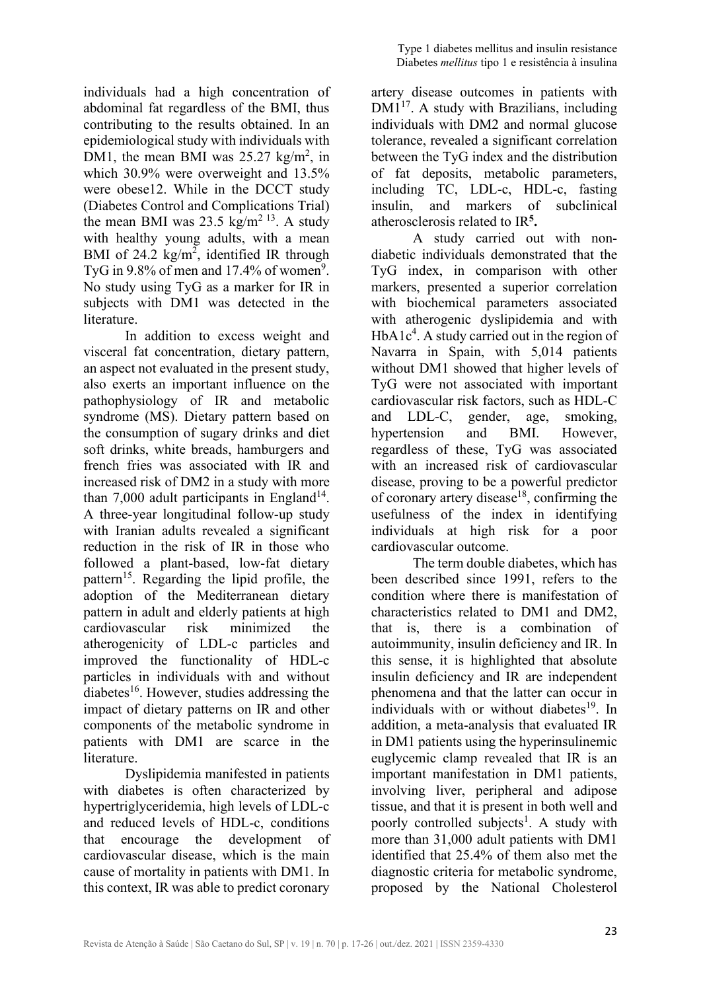individuals had a high concentration of abdominal fat regardless of the BMI, thus contributing to the results obtained. In an epidemiological study with individuals with DM1, the mean BMI was  $25.27 \text{ kg/m}^2$ , in which 30.9% were overweight and 13.5% were obese12. While in the DCCT study (Diabetes Control and Complications Trial) the mean BMI was 23.5  $\text{kg/m}^2$ <sup>13</sup>. A study with healthy young adults, with a mean BMI of 24.2  $\text{kg/m}^2$ , identified IR through TyG in 9.8% of men and 17.4% of women<sup>9</sup>. No study using TyG as a marker for IR in subjects with DM1 was detected in the literature.

In addition to excess weight and visceral fat concentration, dietary pattern, an aspect not evaluated in the present study, also exerts an important influence on the pathophysiology of IR and metabolic syndrome (MS). Dietary pattern based on the consumption of sugary drinks and diet soft drinks, white breads, hamburgers and french fries was associated with IR and increased risk of DM2 in a study with more than 7,000 adult participants in England<sup>14</sup>. A three-year longitudinal follow-up study with Iranian adults revealed a significant reduction in the risk of IR in those who followed a plant-based, low-fat dietary pattern<sup>15</sup>. Regarding the lipid profile, the adoption of the Mediterranean dietary pattern in adult and elderly patients at high cardiovascular risk minimized the atherogenicity of LDL-c particles and improved the functionality of HDL-c particles in individuals with and without  $diabetes^{16}$ . However, studies addressing the impact of dietary patterns on IR and other components of the metabolic syndrome in patients with DM1 are scarce in the literature.

Dyslipidemia manifested in patients with diabetes is often characterized by hypertriglyceridemia, high levels of LDL-c and reduced levels of HDL-c, conditions that encourage the development of cardiovascular disease, which is the main cause of mortality in patients with DM1. In this context, IR was able to predict coronary

artery disease outcomes in patients with  $DM1^{17}$ . A study with Brazilians, including individuals with DM2 and normal glucose tolerance, revealed a significant correlation between the TyG index and the distribution of fat deposits, metabolic parameters, including TC, LDL-c, HDL-c, fasting insulin, and markers of subclinical atherosclerosis related to IR**5.**

A study carried out with nondiabetic individuals demonstrated that the TyG index, in comparison with other markers, presented a superior correlation with biochemical parameters associated with atherogenic dyslipidemia and with HbA1c<sup>4</sup>. A study carried out in the region of Navarra in Spain, with 5,014 patients without DM1 showed that higher levels of TyG were not associated with important cardiovascular risk factors, such as HDL-C and LDL-C, gender, age, smoking, hypertension and BMI. However, regardless of these, TyG was associated with an increased risk of cardiovascular disease, proving to be a powerful predictor of coronary artery disease<sup>18</sup>, confirming the usefulness of the index in identifying individuals at high risk for a poor cardiovascular outcome.

The term double diabetes, which has been described since 1991, refers to the condition where there is manifestation of characteristics related to DM1 and DM2, that is, there is a combination of autoimmunity, insulin deficiency and IR. In this sense, it is highlighted that absolute insulin deficiency and IR are independent phenomena and that the latter can occur in individuals with or without diabetes<sup>19</sup>. In addition, a meta-analysis that evaluated IR in DM1 patients using the hyperinsulinemic euglycemic clamp revealed that IR is an important manifestation in DM1 patients, involving liver, peripheral and adipose tissue, and that it is present in both well and poorly controlled subjects<sup>1</sup>. A study with more than 31,000 adult patients with DM1 identified that 25.4% of them also met the diagnostic criteria for metabolic syndrome, proposed by the National Cholesterol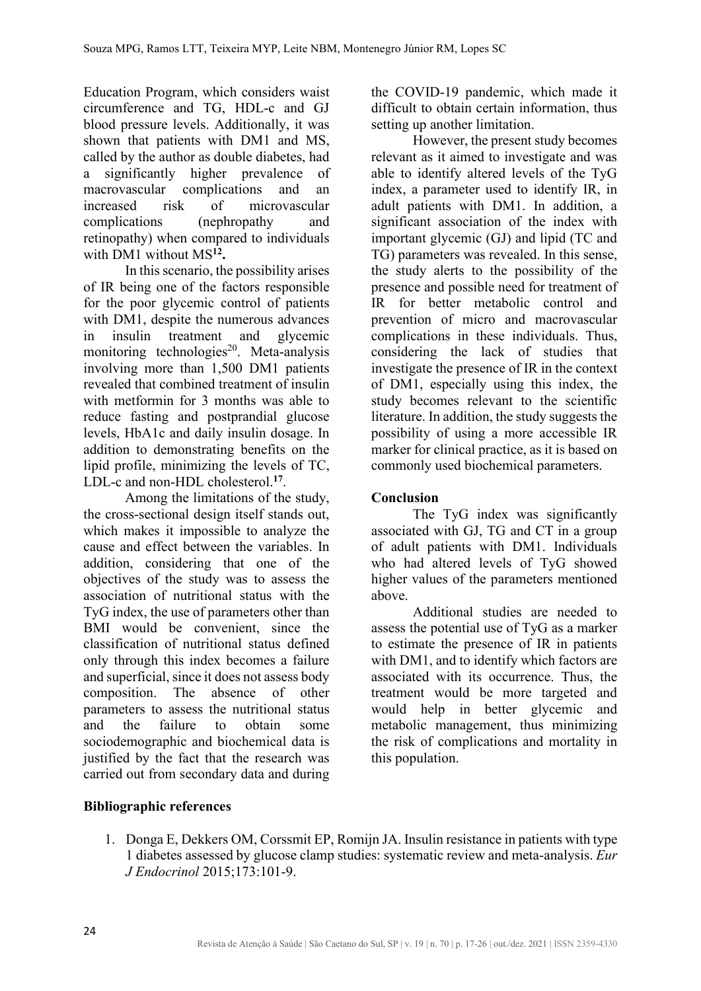Education Program, which considers waist circumference and TG, HDL-c and GJ blood pressure levels. Additionally, it was shown that patients with DM1 and MS, called by the author as double diabetes, had a significantly higher prevalence of macrovascular complications and an increased risk of microvascular complications (nephropathy and retinopathy) when compared to individuals with DM1 without MS**12.**

In this scenario, the possibility arises of IR being one of the factors responsible for the poor glycemic control of patients with DM1, despite the numerous advances in insulin treatment and glycemic monitoring technologies<sup>20</sup>. Meta-analysis involving more than 1,500 DM1 patients revealed that combined treatment of insulin with metformin for 3 months was able to reduce fasting and postprandial glucose levels, HbA1c and daily insulin dosage. In addition to demonstrating benefits on the lipid profile, minimizing the levels of TC, LDL-c and non-HDL cholesterol.**<sup>17</sup>**.

Among the limitations of the study, the cross-sectional design itself stands out, which makes it impossible to analyze the cause and effect between the variables. In addition, considering that one of the objectives of the study was to assess the association of nutritional status with the TyG index, the use of parameters other than BMI would be convenient, since the classification of nutritional status defined only through this index becomes a failure and superficial, since it does not assess body composition. The absence of other parameters to assess the nutritional status and the failure to obtain some sociodemographic and biochemical data is justified by the fact that the research was carried out from secondary data and during

the COVID-19 pandemic, which made it difficult to obtain certain information, thus setting up another limitation.

However, the present study becomes relevant as it aimed to investigate and was able to identify altered levels of the TyG index, a parameter used to identify IR, in adult patients with DM1. In addition, a significant association of the index with important glycemic (GJ) and lipid (TC and TG) parameters was revealed. In this sense, the study alerts to the possibility of the presence and possible need for treatment of IR for better metabolic control and prevention of micro and macrovascular complications in these individuals. Thus, considering the lack of studies that investigate the presence of IR in the context of DM1, especially using this index, the study becomes relevant to the scientific literature. In addition, the study suggests the possibility of using a more accessible IR marker for clinical practice, as it is based on commonly used biochemical parameters.

# **Conclusion**

The TyG index was significantly associated with GJ, TG and CT in a group of adult patients with DM1. Individuals who had altered levels of TyG showed higher values of the parameters mentioned above.

Additional studies are needed to assess the potential use of TyG as a marker to estimate the presence of IR in patients with DM1, and to identify which factors are associated with its occurrence. Thus, the treatment would be more targeted and would help in better glycemic and metabolic management, thus minimizing the risk of complications and mortality in this population.

# **Bibliographic references**

1. Donga E, Dekkers OM, Corssmit EP, Romijn JA. Insulin resistance in patients with type 1 diabetes assessed by glucose clamp studies: systematic review and meta-analysis. *Eur J Endocrinol* 2015;173:101-9.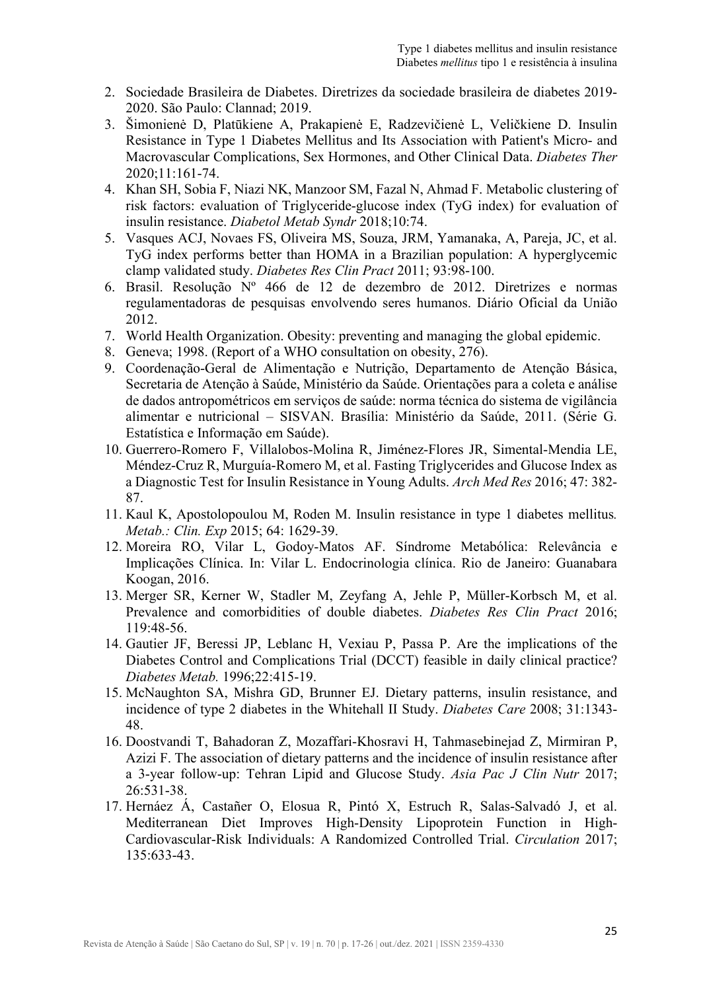- 2. Sociedade Brasileira de Diabetes. Diretrizes da sociedade brasileira de diabetes 2019- 2020. São Paulo: Clannad; 2019.
- 3. Šimonienė D, Platūkiene A, Prakapienė E, Radzevičienė L, Veličkiene D. Insulin Resistance in Type 1 Diabetes Mellitus and Its Association with Patient's Micro- and Macrovascular Complications, Sex Hormones, and Other Clinical Data. *Diabetes Ther* 2020;11:161-74.
- 4. Khan SH, Sobia F, Niazi NK, Manzoor SM, Fazal N, Ahmad F. Metabolic clustering of risk factors: evaluation of Triglyceride-glucose index (TyG index) for evaluation of insulin resistance. *Diabetol Metab Syndr* 2018;10:74.
- 5. Vasques ACJ, Novaes FS, Oliveira MS, Souza, JRM, Yamanaka, A, Pareja, JC, et al. TyG index performs better than HOMA in a Brazilian population: A hyperglycemic clamp validated study. *Diabetes Res Clin Pract* 2011; 93:98-100.
- 6. Brasil. Resolução Nº 466 de 12 de dezembro de 2012. Diretrizes e normas regulamentadoras de pesquisas envolvendo seres humanos. Diário Oficial da União 2012.
- 7. World Health Organization. Obesity: preventing and managing the global epidemic.
- 8. Geneva; 1998. (Report of a WHO consultation on obesity, 276).
- 9. Coordenação-Geral de Alimentação e Nutrição, Departamento de Atenção Básica, Secretaria de Atenção à Saúde, Ministério da Saúde. Orientações para a coleta e análise de dados antropométricos em serviços de saúde: norma técnica do sistema de vigilância alimentar e nutricional – SISVAN. Brasília: Ministério da Saúde, 2011. (Série G. Estatística e Informação em Saúde).
- 10. Guerrero-Romero F, Villalobos-Molina R, Jiménez-Flores JR, Simental-Mendia LE, Méndez-Cruz R, Murguía-Romero M, et al. Fasting Triglycerides and Glucose Index as a Diagnostic Test for Insulin Resistance in Young Adults. *Arch Med Res* 2016; 47: 382- 87.
- 11. Kaul K, Apostolopoulou M, Roden M. Insulin resistance in type 1 diabetes mellitus*. Metab.: Clin. Exp* 2015; 64: 1629-39.
- 12. Moreira RO, Vilar L, Godoy-Matos AF. Síndrome Metabólica: Relevância e Implicações Clínica. In: Vilar L. Endocrinologia clínica. Rio de Janeiro: Guanabara Koogan, 2016.
- 13. Merger SR, Kerner W, Stadler M, Zeyfang A, Jehle P, Müller-Korbsch M, et al. Prevalence and comorbidities of double diabetes. *Diabetes Res Clin Pract* 2016; 119:48-56.
- 14. Gautier JF, Beressi JP, Leblanc H, Vexiau P, Passa P. Are the implications of the Diabetes Control and Complications Trial (DCCT) feasible in daily clinical practice? *Diabetes Metab.* 1996;22:415-19.
- 15. McNaughton SA, Mishra GD, Brunner EJ. Dietary patterns, insulin resistance, and incidence of type 2 diabetes in the Whitehall II Study. *Diabetes Care* 2008; 31:1343- 48.
- 16. Doostvandi T, Bahadoran Z, Mozaffari-Khosravi H, Tahmasebinejad Z, Mirmiran P, Azizi F. The association of dietary patterns and the incidence of insulin resistance after a 3-year follow-up: Tehran Lipid and Glucose Study. *Asia Pac J Clin Nutr* 2017; 26:531-38.
- 17. Hernáez Á, Castañer O, Elosua R, Pintó X, Estruch R, Salas-Salvadó J, et al. Mediterranean Diet Improves High-Density Lipoprotein Function in High-Cardiovascular-Risk Individuals: A Randomized Controlled Trial. *Circulation* 2017; 135:633-43.